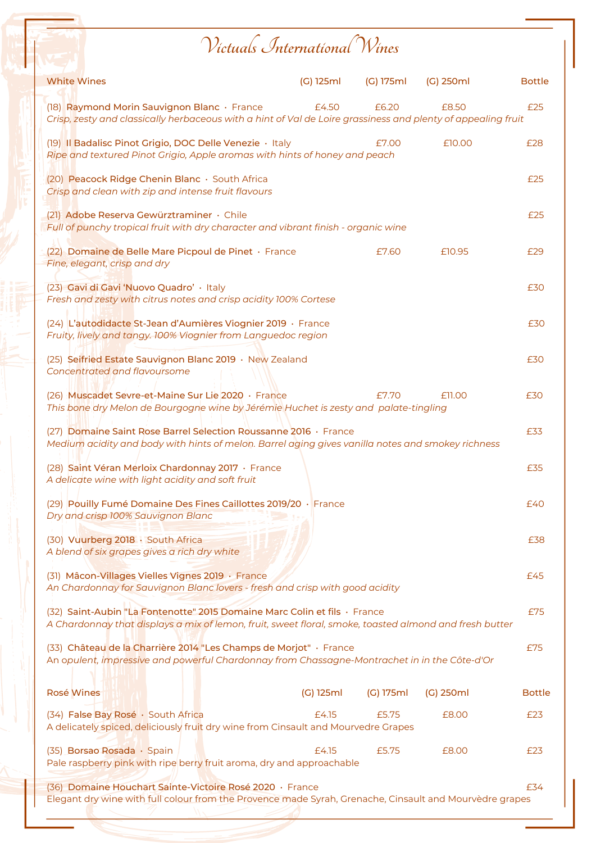## **Victuals International Wines**

| <b>White Wines</b>                                                                                                                                                                  | (G) 125ml | (G) 175ml | $(G)$ 250ml | <b>Bottle</b> |  |
|-------------------------------------------------------------------------------------------------------------------------------------------------------------------------------------|-----------|-----------|-------------|---------------|--|
| (18) Raymond Morin Sauvignon Blanc · France<br>Crisp, zesty and classically herbaceous with a hint of Val de Loire grassiness and plenty of appealing fruit                         | £4.50     | £6.20     | £8.50       | £25           |  |
| (19) Il Badalisc Pinot Grigio, DOC Delle Venezie · Italy<br>Ripe and textured Pinot Grigio, Apple aromas with hints of honey and peach                                              |           | £7.00     | £10.00      | £28           |  |
| (20) Peacock Ridge Chenin Blanc · South Africa<br>Crisp and clean with zip and intense fruit flavours                                                                               |           |           |             | £25           |  |
| (21) Adobe Reserva Gewürztraminer · Chile<br>Full of punchy tropical fruit with dry character and vibrant finish - organic wine                                                     |           |           |             | £25           |  |
| (22) Domaine de Belle Mare Picpoul de Pinet · France<br>Fine, elegant, crisp and dry                                                                                                |           | £7.60     | £10.95      | £29           |  |
| (23) Gavi di Gavi 'Nuovo Quadro' · Italy<br>Fresh and zesty with citrus notes and crisp acidity 100% Cortese                                                                        |           |           |             | £30           |  |
| (24) L'autodidacte St-Jean d'Aumières Viognier 2019 · France<br>Fruity, lively and tangy. 100% Viognier from Languedoc region                                                       |           |           |             | £30           |  |
| (25) Seifried Estate Sauvignon Blanc 2019 · New Zealand<br>Concentrated and flavoursome                                                                                             |           |           |             | £30           |  |
| (26) Muscadet Sevre-et-Maine Sur Lie 2020 · France<br>This bone dry Melon de Bourgogne wine by Jérémie Huchet is zesty and palate-tingling                                          |           | £7.70     | £11.00      | £30           |  |
| (27) Domaine Saint Rose Barrel Selection Roussanne 2016 · France<br>Medium acidity and body with hints of melon. Barrel aging gives vanilla notes and smokey richness               |           |           |             |               |  |
| (28) Saint Véran Merloix Chardonnay 2017 · France<br>A delicate wine with light acidity and soft fruit                                                                              |           |           |             | £35           |  |
| (29) Pouilly Fumé Domaine Des Fines Caillottes 2019/20 · France<br>Dry and crisp 100% Sauvignon Blanc                                                                               |           |           |             | £40           |  |
| (30) Vuurberg 2018 · South Africa<br>A blend of six grapes gives a rich dry white                                                                                                   |           |           |             | £38           |  |
| (31) Mâcon-Villages Vielles Vignes 2019 · France<br>An Chardonnay for Sauvignon Blanc lovers - fresh and crisp with good acidity                                                    |           |           |             | £45           |  |
| (32) Saint-Aubin "La Fontenotte" 2015 Domaine Marc Colin et fils · France<br>A Chardonnay that displays a mix of lemon, fruit, sweet floral, smoke, toasted almond and fresh butter |           |           |             |               |  |
| (33) Château de la Charrière 2014 "Les Champs de Morjot" · France<br>An opulent, impressive and powerful Chardonnay from Chassagne-Montrachet in in the Côte-d'Or                   |           |           |             |               |  |
| <b>Rosé Wines</b>                                                                                                                                                                   | (G) 125ml | (G) 175ml | $(G)$ 250ml | <b>Bottle</b> |  |
| (34) False Bay Rosé · South Africa<br>A delicately spiced, deliciously fruit dry wine from Cinsault and Mourvedre Grapes                                                            | £4.15     | £5.75     | £8.00       | E23           |  |
| (35) Borsao Rosada · Spain<br>Pale raspberry pink with ripe berry fruit aroma, dry and approachable                                                                                 | £4.15     | £5.75     | £8.00       | £23           |  |
| (36) Domaine Houchart Sainte-Victoire Rosé 2020 · France<br>Elegant dry wine with full colour from the Provence made Syrah, Grenache, Cinsault and Mourvèdre grapes                 |           |           |             | £34           |  |